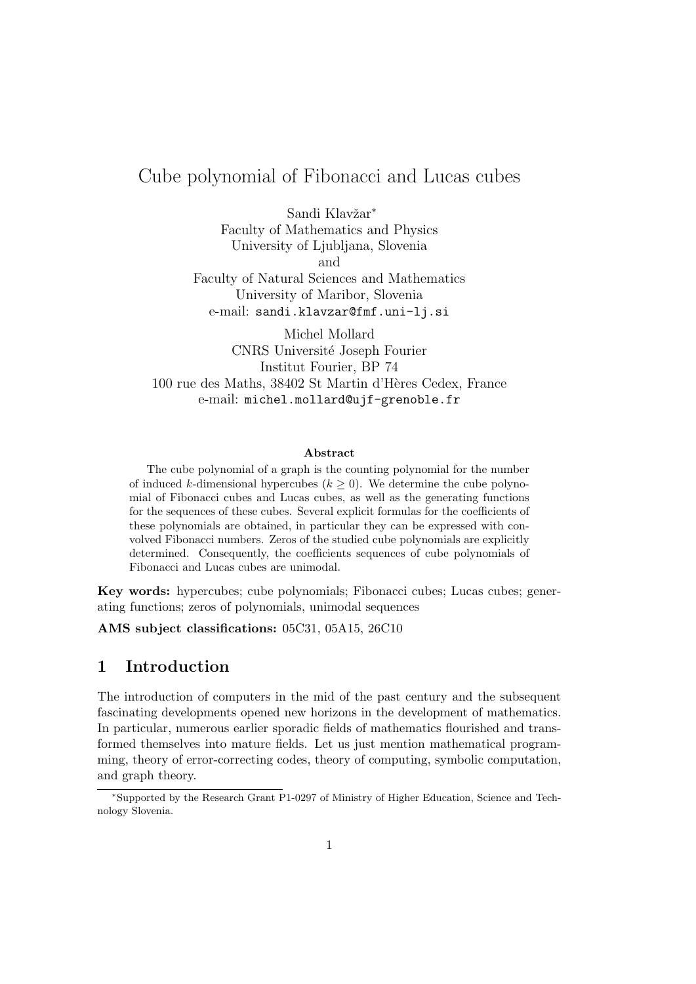# Cube polynomial of Fibonacci and Lucas cubes

Sandi Klavžar<sup>\*</sup> Faculty of Mathematics and Physics University of Ljubljana, Slovenia and

Faculty of Natural Sciences and Mathematics University of Maribor, Slovenia e-mail: sandi.klavzar@fmf.uni-lj.si

Michel Mollard CNRS Universit´e Joseph Fourier Institut Fourier, BP 74 100 rue des Maths, 38402 St Martin d'H`eres Cedex, France e-mail: michel.mollard@ujf-grenoble.fr

#### Abstract

The cube polynomial of a graph is the counting polynomial for the number of induced k-dimensional hypercubes  $(k \geq 0)$ . We determine the cube polynomial of Fibonacci cubes and Lucas cubes, as well as the generating functions for the sequences of these cubes. Several explicit formulas for the coefficients of these polynomials are obtained, in particular they can be expressed with convolved Fibonacci numbers. Zeros of the studied cube polynomials are explicitly determined. Consequently, the coefficients sequences of cube polynomials of Fibonacci and Lucas cubes are unimodal.

Key words: hypercubes; cube polynomials; Fibonacci cubes; Lucas cubes; generating functions; zeros of polynomials, unimodal sequences

AMS subject classifications: 05C31, 05A15, 26C10

## 1 Introduction

The introduction of computers in the mid of the past century and the subsequent fascinating developments opened new horizons in the development of mathematics. In particular, numerous earlier sporadic fields of mathematics flourished and transformed themselves into mature fields. Let us just mention mathematical programming, theory of error-correcting codes, theory of computing, symbolic computation, and graph theory.

<sup>∗</sup>Supported by the Research Grant P1-0297 of Ministry of Higher Education, Science and Technology Slovenia.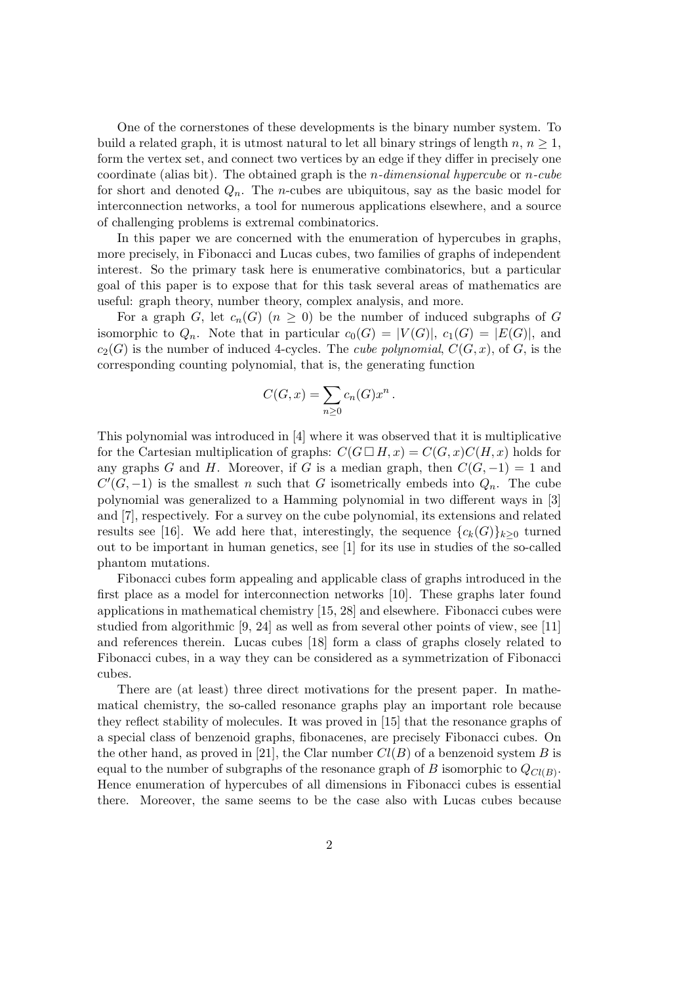One of the cornerstones of these developments is the binary number system. To build a related graph, it is utmost natural to let all binary strings of length  $n, n \geq 1$ , form the vertex set, and connect two vertices by an edge if they differ in precisely one coordinate (alias bit). The obtained graph is the *n*-dimensional hypercube or *n*-cube for short and denoted  $Q_n$ . The *n*-cubes are ubiquitous, say as the basic model for interconnection networks, a tool for numerous applications elsewhere, and a source of challenging problems is extremal combinatorics.

In this paper we are concerned with the enumeration of hypercubes in graphs, more precisely, in Fibonacci and Lucas cubes, two families of graphs of independent interest. So the primary task here is enumerative combinatorics, but a particular goal of this paper is to expose that for this task several areas of mathematics are useful: graph theory, number theory, complex analysis, and more.

For a graph G, let  $c_n(G)$   $(n \geq 0)$  be the number of induced subgraphs of G isomorphic to  $Q_n$ . Note that in particular  $c_0(G) = |V(G)|$ ,  $c_1(G) = |E(G)|$ , and  $c_2(G)$  is the number of induced 4-cycles. The *cube polynomial*,  $C(G, x)$ , of G, is the corresponding counting polynomial, that is, the generating function

$$
C(G, x) = \sum_{n \ge 0} c_n(G) x^n.
$$

This polynomial was introduced in [4] where it was observed that it is multiplicative for the Cartesian multiplication of graphs:  $C(G \square H, x) = C(G, x)C(H, x)$  holds for any graphs G and H. Moreover, if G is a median graph, then  $C(G, -1) = 1$  and  $C'(G, -1)$  is the smallest n such that G isometrically embeds into  $Q_n$ . The cube polynomial was generalized to a Hamming polynomial in two different ways in [3] and [7], respectively. For a survey on the cube polynomial, its extensions and related results see [16]. We add here that, interestingly, the sequence  ${c_k(G)}_{k>0}$  turned out to be important in human genetics, see [1] for its use in studies of the so-called phantom mutations.

Fibonacci cubes form appealing and applicable class of graphs introduced in the first place as a model for interconnection networks [10]. These graphs later found applications in mathematical chemistry [15, 28] and elsewhere. Fibonacci cubes were studied from algorithmic [9, 24] as well as from several other points of view, see [11] and references therein. Lucas cubes [18] form a class of graphs closely related to Fibonacci cubes, in a way they can be considered as a symmetrization of Fibonacci cubes.

There are (at least) three direct motivations for the present paper. In mathematical chemistry, the so-called resonance graphs play an important role because they reflect stability of molecules. It was proved in [15] that the resonance graphs of a special class of benzenoid graphs, fibonacenes, are precisely Fibonacci cubes. On the other hand, as proved in [21], the Clar number  $Cl(B)$  of a benzenoid system B is equal to the number of subgraphs of the resonance graph of B isomorphic to  $Q_{Cl(B)}$ . Hence enumeration of hypercubes of all dimensions in Fibonacci cubes is essential there. Moreover, the same seems to be the case also with Lucas cubes because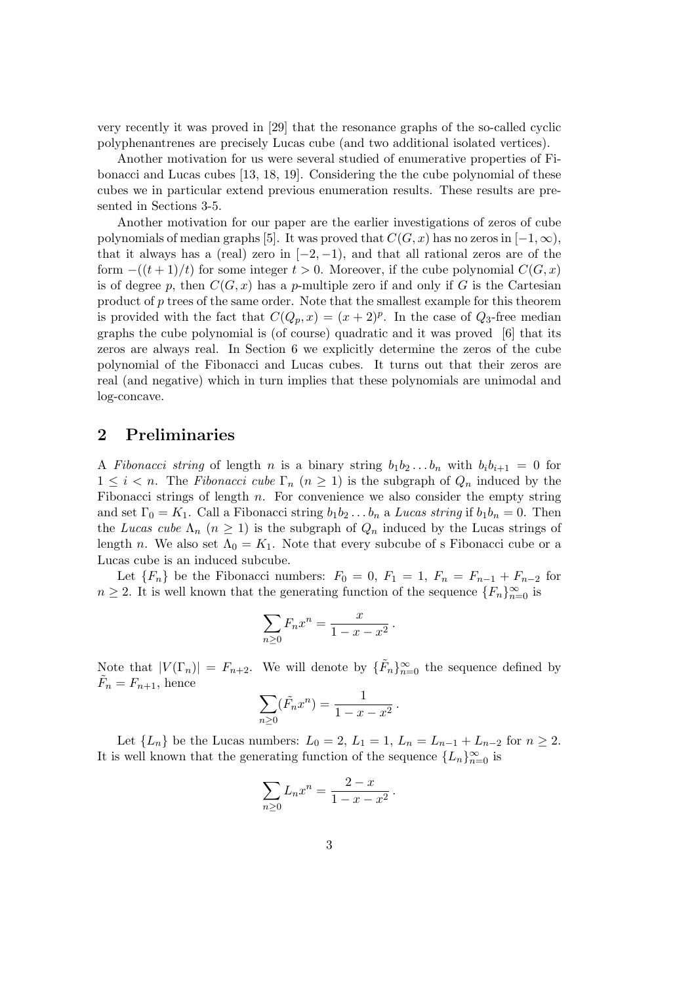very recently it was proved in [29] that the resonance graphs of the so-called cyclic polyphenantrenes are precisely Lucas cube (and two additional isolated vertices).

Another motivation for us were several studied of enumerative properties of Fibonacci and Lucas cubes [13, 18, 19]. Considering the the cube polynomial of these cubes we in particular extend previous enumeration results. These results are presented in Sections 3-5.

Another motivation for our paper are the earlier investigations of zeros of cube polynomials of median graphs [5]. It was proved that  $C(G, x)$  has no zeros in  $[-1, \infty)$ , that it always has a (real) zero in  $[-2, -1)$ , and that all rational zeros are of the form  $-(t+1)/t$  for some integer  $t > 0$ . Moreover, if the cube polynomial  $C(G, x)$ is of degree p, then  $C(G, x)$  has a p-multiple zero if and only if G is the Cartesian product of  $p$  trees of the same order. Note that the smallest example for this theorem is provided with the fact that  $C(Q_p, x) = (x + 2)^p$ . In the case of  $Q_3$ -free median graphs the cube polynomial is (of course) quadratic and it was proved [6] that its zeros are always real. In Section 6 we explicitly determine the zeros of the cube polynomial of the Fibonacci and Lucas cubes. It turns out that their zeros are real (and negative) which in turn implies that these polynomials are unimodal and log-concave.

#### 2 Preliminaries

A Fibonacci string of length n is a binary string  $b_1b_2...b_n$  with  $b_ib_{i+1} = 0$  for  $1 \leq i \leq n$ . The Fibonacci cube  $\Gamma_n$   $(n \geq 1)$  is the subgraph of  $Q_n$  induced by the Fibonacci strings of length  $n$ . For convenience we also consider the empty string and set  $\Gamma_0 = K_1$ . Call a Fibonacci string  $b_1 b_2 \ldots b_n$  a Lucas string if  $b_1 b_n = 0$ . Then the Lucas cube  $\Lambda_n$   $(n \geq 1)$  is the subgraph of  $Q_n$  induced by the Lucas strings of length n. We also set  $\Lambda_0 = K_1$ . Note that every subcube of s Fibonacci cube or a Lucas cube is an induced subcube.

Let  ${F_n}$  be the Fibonacci numbers:  $F_0 = 0$ ,  $F_1 = 1$ ,  $F_n = F_{n-1} + F_{n-2}$  for  $n \geq 2$ . It is well known that the generating function of the sequence  $\{F_n\}_{n=0}^{\infty}$  is

$$
\sum_{n\geq 0} F_n x^n = \frac{x}{1-x-x^2}.
$$

Note that  $|V(\Gamma_n)| = F_{n+2}$ . We will denote by  $\{\tilde{F}_n\}_{n=0}^{\infty}$  the sequence defined by  $\tilde{F}_n = F_{n+1}$ , hence

$$
\sum_{n\geq 0} (\tilde{F}_n x^n) = \frac{1}{1 - x - x^2} \, .
$$

Let  ${L_n}$  be the Lucas numbers:  $L_0 = 2$ ,  $L_1 = 1$ ,  $L_n = L_{n-1} + L_{n-2}$  for  $n \ge 2$ . It is well known that the generating function of the sequence  ${L_n}_{n=0}^{\infty}$  is

$$
\sum_{n\geq 0} L_n x^n = \frac{2-x}{1-x-x^2} \, .
$$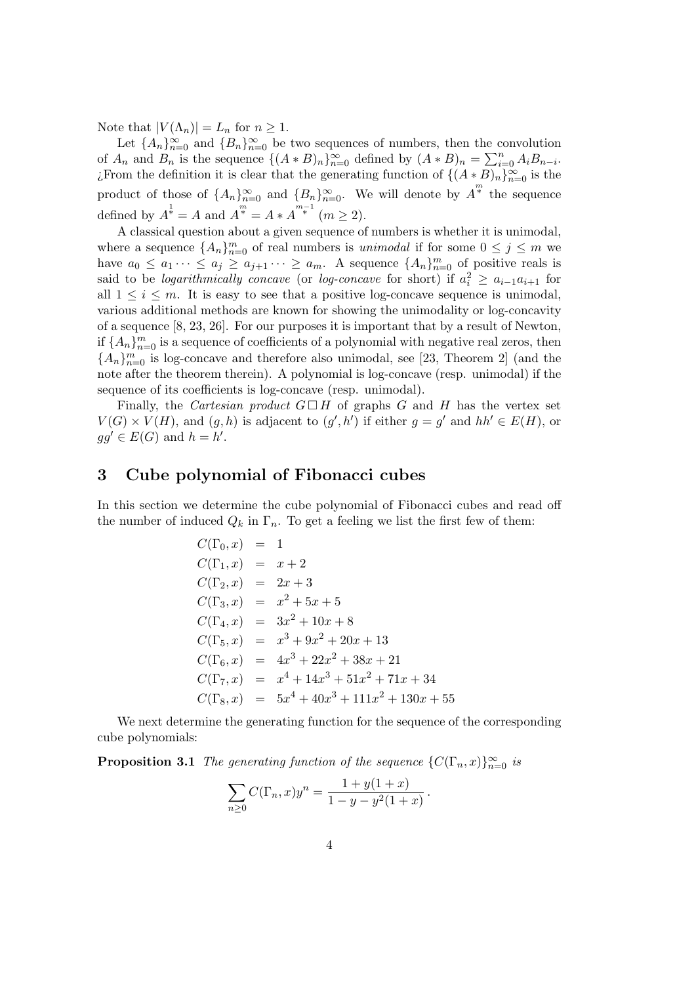Note that  $|V(\Lambda_n)| = L_n$  for  $n \geq 1$ .

Let  ${A_n}_{n=0}^{\infty}$  and  ${B_n}_{n=0}^{\infty}$  be two sequences of numbers, then the convolution of  $A_n$  and  $B_n$  is the sequence  $\{(A * B)_n\}_{n=0}^{\infty}$  defined by  $(A * B)_n = \sum_{i=0}^n A_i B_{n-i}$ . ¿From the definition it is clear that the generating function of  $\{(A*B)_n\}_{n=0}^{\infty}$  is the product of those of  $\{A_n\}_{n=0}^{\infty}$  and  $\{B_n\}_{n=0}^{\infty}$ . We will denote by  $\overline{A}^n$  the sequence defined by  $A^{\frac{1}{k}} = A$  and  $A^{\frac{m}{k}} = A * A^{\frac{m-1}{k}}$  ( $m \ge 2$ ).

A classical question about a given sequence of numbers is whether it is unimodal, where a sequence  ${A_n}_{n=0}^m$  of real numbers is *unimodal* if for some  $0 \le j \le m$  we have  $a_0 \le a_1 \cdots \le a_j \ge a_{j+1} \cdots \ge a_m$ . A sequence  $\{A_n\}_{n=0}^m$  of positive reals is said to be *logarithmically concave* (or *log-concave* for short) if  $a_i^2 \ge a_{i-1}a_{i+1}$  for all  $1 \leq i \leq m$ . It is easy to see that a positive log-concave sequence is unimodal, various additional methods are known for showing the unimodality or log-concavity of a sequence [8, 23, 26]. For our purposes it is important that by a result of Newton, if  $\{A_n\}_{n=0}^m$  is a sequence of coefficients of a polynomial with negative real zeros, then  ${A_n}_{n=0}^m$  is log-concave and therefore also unimodal, see [23, Theorem 2] (and the note after the theorem therein). A polynomial is log-concave (resp. unimodal) if the sequence of its coefficients is log-concave (resp. unimodal).

Finally, the Cartesian product  $G \square H$  of graphs G and H has the vertex set  $V(G) \times V(H)$ , and  $(g, h)$  is adjacent to  $(g', h')$  if either  $g = g'$  and  $hh' \in E(H)$ , or  $gg' \in E(G)$  and  $h = h'$ .

### 3 Cube polynomial of Fibonacci cubes

In this section we determine the cube polynomial of Fibonacci cubes and read off the number of induced  $Q_k$  in  $\Gamma_n$ . To get a feeling we list the first few of them:

$$
C(\Gamma_0, x) = 1
$$
  
\n
$$
C(\Gamma_1, x) = x + 2
$$
  
\n
$$
C(\Gamma_2, x) = 2x + 3
$$
  
\n
$$
C(\Gamma_3, x) = x^2 + 5x + 5
$$
  
\n
$$
C(\Gamma_4, x) = 3x^2 + 10x + 8
$$
  
\n
$$
C(\Gamma_5, x) = x^3 + 9x^2 + 20x + 13
$$
  
\n
$$
C(\Gamma_6, x) = 4x^3 + 22x^2 + 38x + 21
$$
  
\n
$$
C(\Gamma_7, x) = x^4 + 14x^3 + 51x^2 + 71x + 34
$$
  
\n
$$
C(\Gamma_8, x) = 5x^4 + 40x^3 + 111x^2 + 130x + 55
$$

We next determine the generating function for the sequence of the corresponding cube polynomials:

**Proposition 3.1** The generating function of the sequence  $\{C(\Gamma_n,x)\}_{n=0}^{\infty}$  is

$$
\sum_{n\geq 0} C(\Gamma_n, x) y^n = \frac{1 + y(1+x)}{1 - y - y^2(1+x)}
$$

 $1 + 2$ 

.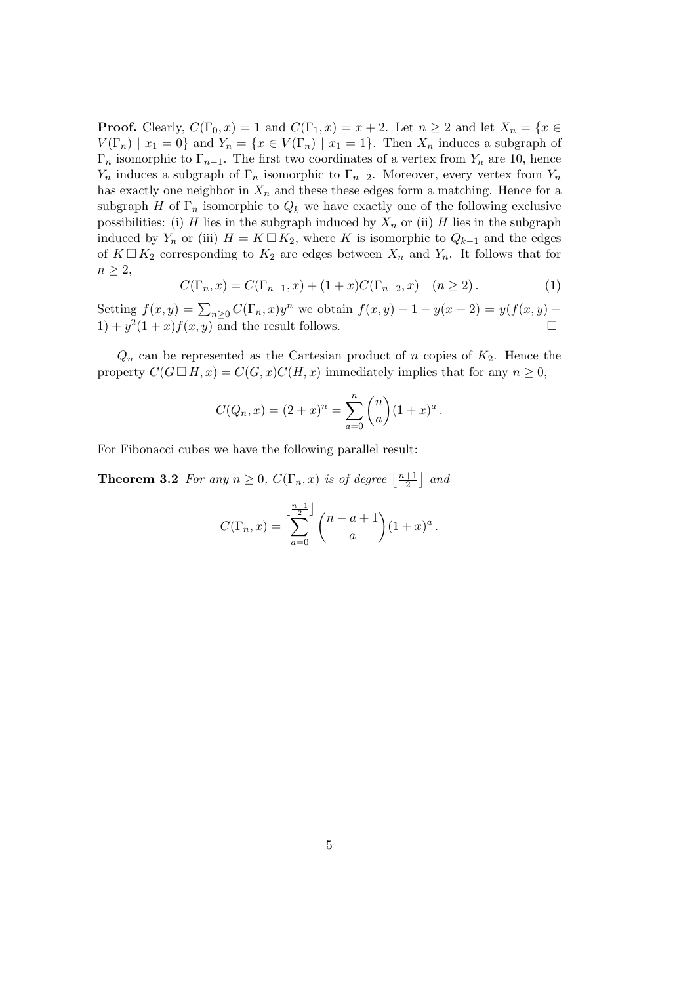**Proof.** Clearly,  $C(\Gamma_0, x) = 1$  and  $C(\Gamma_1, x) = x + 2$ . Let  $n \ge 2$  and let  $X_n = \{x \in \Gamma_0 | x \in X \}$  $V(\Gamma_n) \mid x_1 = 0$ } and  $Y_n = \{x \in V(\Gamma_n) \mid x_1 = 1\}$ . Then  $X_n$  induces a subgraph of  $\Gamma_n$  isomorphic to  $\Gamma_{n-1}$ . The first two coordinates of a vertex from  $Y_n$  are 10, hence  $Y_n$  induces a subgraph of  $\Gamma_n$  isomorphic to  $\Gamma_{n-2}$ . Moreover, every vertex from  $Y_n$ has exactly one neighbor in  $X_n$  and these these edges form a matching. Hence for a subgraph H of  $\Gamma_n$  isomorphic to  $Q_k$  we have exactly one of the following exclusive possibilities: (i) H lies in the subgraph induced by  $X_n$  or (ii) H lies in the subgraph induced by  $Y_n$  or (iii)  $H = K \square K_2$ , where K is isomorphic to  $Q_{k-1}$  and the edges of  $K \square K_2$  corresponding to  $K_2$  are edges between  $X_n$  and  $Y_n$ . It follows that for  $n \geq 2$ ,

$$
C(\Gamma_n, x) = C(\Gamma_{n-1}, x) + (1+x)C(\Gamma_{n-2}, x) \quad (n \ge 2).
$$
 (1)

Setting  $f(x, y) = \sum_{n \geq 0} C(\Gamma_n, x) y^n$  we obtain  $f(x, y) - 1 - y(x + 2) = y(f(x, y) - 1)$  $1) + y^2(1+x)f(x, y)$  and the result follows.

 $Q_n$  can be represented as the Cartesian product of n copies of  $K_2$ . Hence the property  $C(G \square H, x) = C(G, x)C(H, x)$  immediately implies that for any  $n \geq 0$ ,

$$
C(Q_n, x) = (2+x)^n = \sum_{a=0}^n {n \choose a} (1+x)^a.
$$

For Fibonacci cubes we have the following parallel result:

**Theorem 3.2** For any  $n \geq 0$ ,  $C(\Gamma_n, x)$  is of degree  $\left\lfloor \frac{n+1}{2} \right\rfloor$  $\frac{+1}{2}$  and

$$
C(\Gamma_n, x) = \sum_{a=0}^{\left\lfloor \frac{n+1}{2} \right\rfloor} {n-a+1 \choose a} (1+x)^a.
$$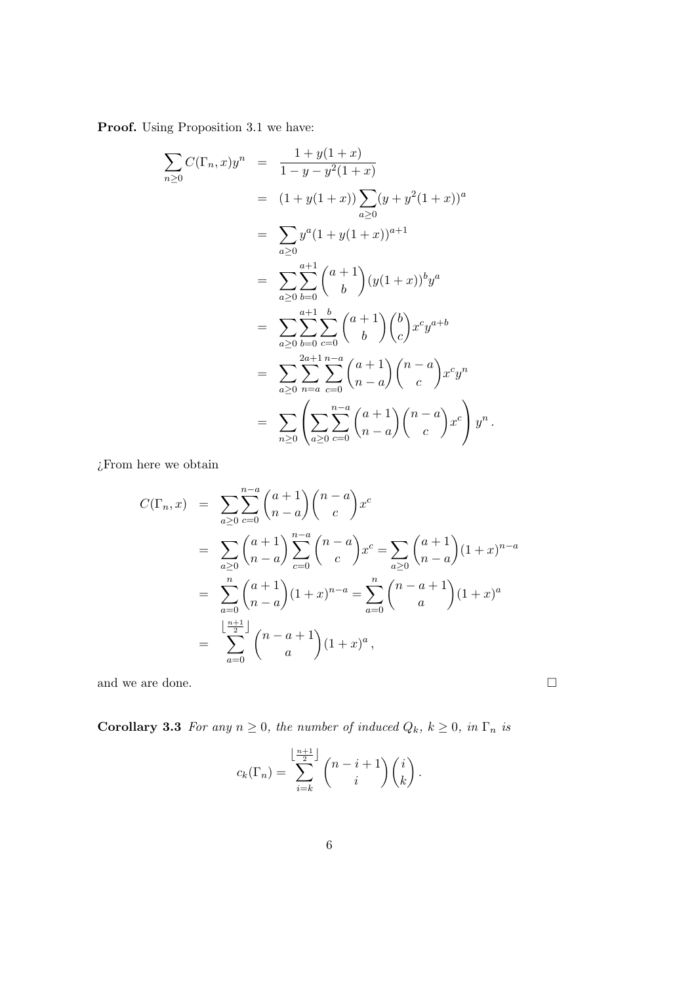Proof. Using Proposition 3.1 we have:

$$
\sum_{n\geq 0} C(\Gamma_n, x) y^n = \frac{1 + y(1+x)}{1 - y - y^2(1+x)}
$$
\n
$$
= (1 + y(1+x)) \sum_{a\geq 0} (y + y^2(1+x))^a
$$
\n
$$
= \sum_{a\geq 0} y^a (1 + y(1+x))^{a+1}
$$
\n
$$
= \sum_{a\geq 0} \sum_{b=0}^{a+1} {a+1 \choose b} (y(1+x))^b y^a
$$
\n
$$
= \sum_{a\geq 0} \sum_{b=0}^{a+1} \sum_{c=0}^{b} {a+1 \choose b} {b \choose c} x^c y^{a+b}
$$
\n
$$
= \sum_{a\geq 0} \sum_{n=a}^{2a+1} \sum_{c=0}^{n-a} {a+1 \choose n-a} {n-a \choose c} x^c y^n
$$
\n
$$
= \sum_{n\geq 0} \left( \sum_{a\geq 0} \sum_{c=0}^{n-a} {a+1 \choose n-a} {n-a \choose c} x^c \right) y^n.
$$

 $\mathop{\mathcal E}$  From here we obtain

$$
C(\Gamma_n, x) = \sum_{a \ge 0} \sum_{c=0}^{n-a} {a+1 \choose n-a} {n-a \choose c} x^c
$$
  
= 
$$
\sum_{a \ge 0} {a+1 \choose n-a} \sum_{c=0}^{n-a} {n-a \choose c} x^c = \sum_{a \ge 0} {a+1 \choose n-a} (1+x)^{n-a}
$$
  
= 
$$
\sum_{a=0}^{n} {a+1 \choose n-a} (1+x)^{n-a} = \sum_{a=0}^{n} {n-a+1 \choose a} (1+x)^a
$$
  
= 
$$
\sum_{a=0}^{\lfloor \frac{n+1}{2} \rfloor} {n-a+1 \choose a} (1+x)^a,
$$

and we are done.  $\hfill \square$ 

**Corollary 3.3** For any  $n \ge 0$ , the number of induced  $Q_k$ ,  $k \ge 0$ , in  $\Gamma_n$  is

$$
c_k(\Gamma_n) = \sum_{i=k}^{\left\lfloor \frac{n+1}{2} \right\rfloor} {n-i+1 \choose i}{i \choose k}.
$$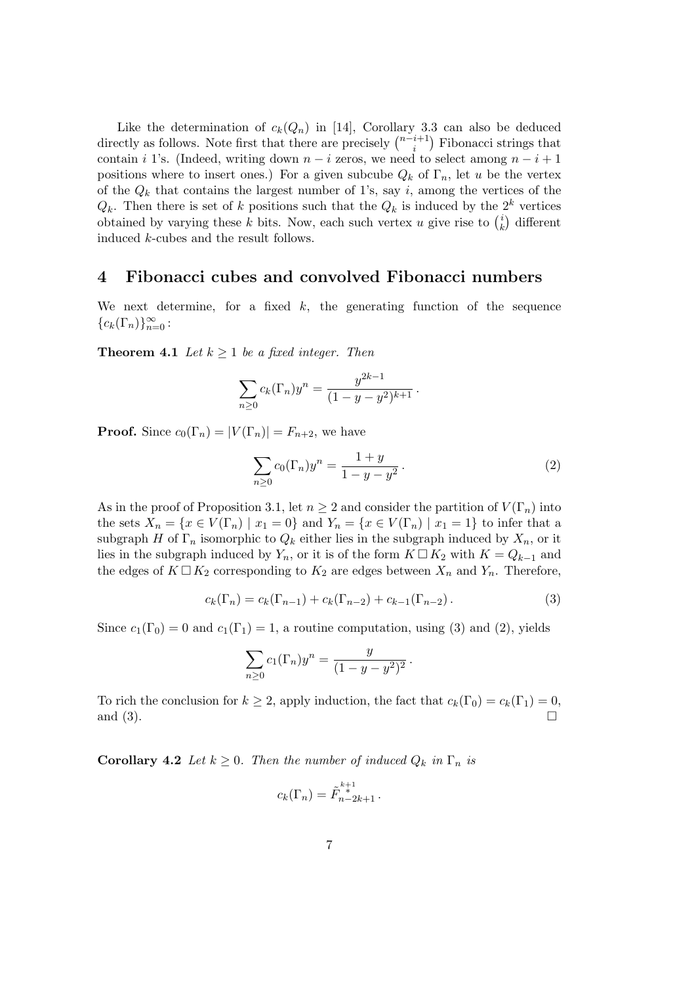Like the determination of  $c_k(Q_n)$  in [14], Corollary 3.3 can also be deduced directly as follows. Note first that there are precisely  $\binom{n-i+1}{i}$  $i+1 \choose i$  Fibonacci strings that contain i 1's. (Indeed, writing down  $n - i$  zeros, we need to select among  $n - i + 1$ positions where to insert ones.) For a given subcube  $Q_k$  of  $\Gamma_n$ , let u be the vertex of the  $Q_k$  that contains the largest number of 1's, say i, among the vertices of the  $Q_k$ . Then there is set of k positions such that the  $Q_k$  is induced by the  $2^k$  vertices obtained by varying these k bits. Now, each such vertex u give rise to  $\binom{i}{k}$  $\binom{i}{k}$  different induced k-cubes and the result follows.

#### 4 Fibonacci cubes and convolved Fibonacci numbers

We next determine, for a fixed  $k$ , the generating function of the sequence  ${c_k(\Gamma_n)}_{n=0}^{\infty}$ :

**Theorem 4.1** Let  $k \geq 1$  be a fixed integer. Then

$$
\sum_{n\geq 0} c_k(\Gamma_n) y^n = \frac{y^{2k-1}}{(1-y-y^2)^{k+1}}.
$$

**Proof.** Since  $c_0(\Gamma_n) = |V(\Gamma_n)| = F_{n+2}$ , we have

$$
\sum_{n\geq 0} c_0(\Gamma_n) y^n = \frac{1+y}{1-y-y^2}.
$$
 (2)

As in the proof of Proposition 3.1, let  $n \geq 2$  and consider the partition of  $V(\Gamma_n)$  into the sets  $X_n = \{x \in V(\Gamma_n) \mid x_1 = 0\}$  and  $Y_n = \{x \in V(\Gamma_n) \mid x_1 = 1\}$  to infer that a subgraph H of  $\Gamma_n$  isomorphic to  $Q_k$  either lies in the subgraph induced by  $X_n$ , or it lies in the subgraph induced by  $Y_n$ , or it is of the form  $K \square K_2$  with  $K = Q_{k-1}$  and the edges of  $K \square K_2$  corresponding to  $K_2$  are edges between  $X_n$  and  $Y_n$ . Therefore,

$$
c_k(\Gamma_n) = c_k(\Gamma_{n-1}) + c_k(\Gamma_{n-2}) + c_{k-1}(\Gamma_{n-2}).
$$
\n(3)

Since  $c_1(\Gamma_0) = 0$  and  $c_1(\Gamma_1) = 1$ , a routine computation, using (3) and (2), yields

$$
\sum_{n\geq 0} c_1(\Gamma_n) y^n = \frac{y}{(1-y-y^2)^2}.
$$

To rich the conclusion for  $k \geq 2$ , apply induction, the fact that  $c_k(\Gamma_0) = c_k(\Gamma_1) = 0$ , and  $(3)$ .

**Corollary 4.2** Let  $k \geq 0$ . Then the number of induced  $Q_k$  in  $\Gamma_n$  is

$$
c_k(\Gamma_n) = \tilde{F}_{n-2k+1}^{k+1}.
$$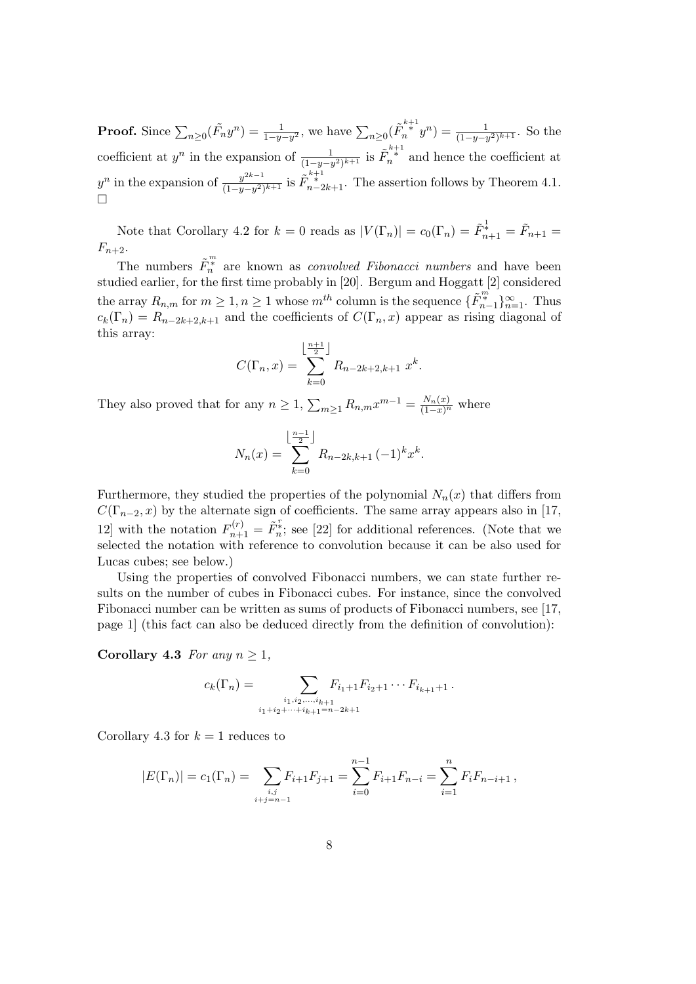**Proof.** Since  $\sum_{n\geq 0}(\tilde{F}_ny^n) = \frac{1}{1-y-y^2}$ , we have  $\sum_{n\geq 0}(\tilde{F}_n^{k+1}y^n) = \frac{1}{(1-y-y^2)^{k+1}}$ . So the coefficient at  $y^n$  in the expansion of  $\frac{1}{(1-y-y^2)^{k+1}}$  is  $\tilde{F}_n^{k+1}$  and hence the coefficient at  $y^n$  in the expansion of  $\frac{y^{2k-1}}{(1-y)^{2k}}$  $\frac{y^{2k-1}}{(1-y-y^2)^{k+1}}$  is  $\tilde{F}_{n-2k+1}^{k+1}$ . The assertion follows by Theorem 4.1.  $\Box$ 

Note that Corollary 4.2 for  $k = 0$  reads as  $|V(\Gamma_n)| = c_0(\Gamma_n) = \tilde{F}_{n+1}^{\frac{1}{k}} = \tilde{F}_{n+1}$  $F_{n+2}$ .

The numbers  $\tilde{F}_n^m$  are known as *convolved Fibonacci numbers* and have been studied earlier, for the first time probably in [20]. Bergum and Hoggatt [2] considered the array  $R_{n,m}$  for  $m \geq 1, n \geq 1$  whose  $m^{th}$  column is the sequence  $\{\tilde{F}_{n-1}^{\#}\}_{n=1}^{\infty}$ . Thus  $c_k(\Gamma_n) = R_{n-2k+2,k+1}$  and the coefficients of  $C(\Gamma_n, x)$  appear as rising diagonal of this array:

$$
C(\Gamma_n, x) = \sum_{k=0}^{\left\lfloor \frac{n+1}{2} \right\rfloor} R_{n-2k+2, k+1} x^k.
$$

They also proved that for any  $n \geq 1$ ,  $\sum_{m \geq 1} R_{n,m} x^{m-1} = \frac{N_n(x)}{(1-x)^n}$  where

$$
N_n(x) = \sum_{k=0}^{\left\lfloor \frac{n-1}{2} \right\rfloor} R_{n-2k,k+1} (-1)^k x^k.
$$

Furthermore, they studied the properties of the polynomial  $N_n(x)$  that differs from  $C(\Gamma_{n-2}, x)$  by the alternate sign of coefficients. The same array appears also in [17, 12] with the notation  $F_{n+1}^{(r)} = \tilde{F}_n^*$ ; see [22] for additional references. (Note that we selected the notation with reference to convolution because it can be also used for Lucas cubes; see below.)

Using the properties of convolved Fibonacci numbers, we can state further results on the number of cubes in Fibonacci cubes. For instance, since the convolved Fibonacci number can be written as sums of products of Fibonacci numbers, see [17, page 1] (this fact can also be deduced directly from the definition of convolution):

Corollary 4.3 For any  $n \geq 1$ ,

$$
c_k(\Gamma_n) = \sum_{\substack{i_1, i_2, \dots, i_{k+1} \\ i_1 + i_2 + \dots + i_{k+1} = n-2k+1}} F_{i_1+1} F_{i_2+1} \cdots F_{i_{k+1}+1}.
$$

Corollary 4.3 for  $k = 1$  reduces to

$$
|E(\Gamma_n)| = c_1(\Gamma_n) = \sum_{\substack{i,j \ i+j=n-1}} F_{i+1} F_{j+1} = \sum_{i=0}^{n-1} F_{i+1} F_{n-i} = \sum_{i=1}^n F_i F_{n-i+1},
$$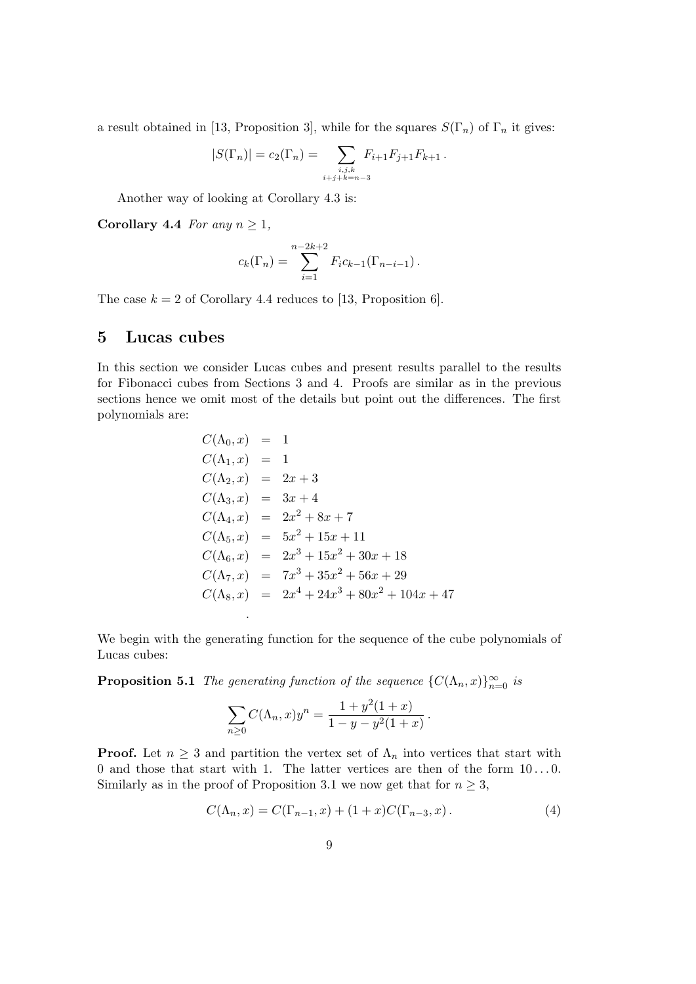a result obtained in [13, Proposition 3], while for the squares  $S(\Gamma_n)$  of  $\Gamma_n$  it gives:

$$
|S(\Gamma_n)| = c_2(\Gamma_n) = \sum_{\substack{i,j,k \ i+j+k=n-3}} F_{i+1} F_{j+1} F_{k+1}.
$$

Another way of looking at Corollary 4.3 is:

Corollary 4.4 For any  $n \geq 1$ ,

$$
c_k(\Gamma_n) = \sum_{i=1}^{n-2k+2} F_i c_{k-1}(\Gamma_{n-i-1}).
$$

The case  $k = 2$  of Corollary 4.4 reduces to [13, Proposition 6].

#### 5 Lucas cubes

In this section we consider Lucas cubes and present results parallel to the results for Fibonacci cubes from Sections 3 and 4. Proofs are similar as in the previous sections hence we omit most of the details but point out the differences. The first polynomials are:

$$
C(\Lambda_0, x) = 1
$$
  
\n
$$
C(\Lambda_1, x) = 1
$$
  
\n
$$
C(\Lambda_2, x) = 2x + 3
$$
  
\n
$$
C(\Lambda_3, x) = 3x + 4
$$
  
\n
$$
C(\Lambda_4, x) = 2x^2 + 8x + 7
$$
  
\n
$$
C(\Lambda_5, x) = 5x^2 + 15x + 11
$$
  
\n
$$
C(\Lambda_6, x) = 2x^3 + 15x^2 + 30x + 18
$$
  
\n
$$
C(\Lambda_7, x) = 7x^3 + 35x^2 + 56x + 29
$$
  
\n
$$
C(\Lambda_8, x) = 2x^4 + 24x^3 + 80x^2 + 104x + 47
$$

We begin with the generating function for the sequence of the cube polynomials of Lucas cubes:

**Proposition 5.1** The generating function of the sequence  $\{C(\Lambda_n, x)\}_{n=0}^{\infty}$  is

.

$$
\sum_{n\geq 0} C(\Lambda_n, x) y^n = \frac{1 + y^2 (1 + x)}{1 - y - y^2 (1 + x)}.
$$

**Proof.** Let  $n \geq 3$  and partition the vertex set of  $\Lambda_n$  into vertices that start with 0 and those that start with 1. The latter vertices are then of the form  $10...0$ . Similarly as in the proof of Proposition 3.1 we now get that for  $n \geq 3$ ,

$$
C(\Lambda_n, x) = C(\Gamma_{n-1}, x) + (1+x)C(\Gamma_{n-3}, x). \tag{4}
$$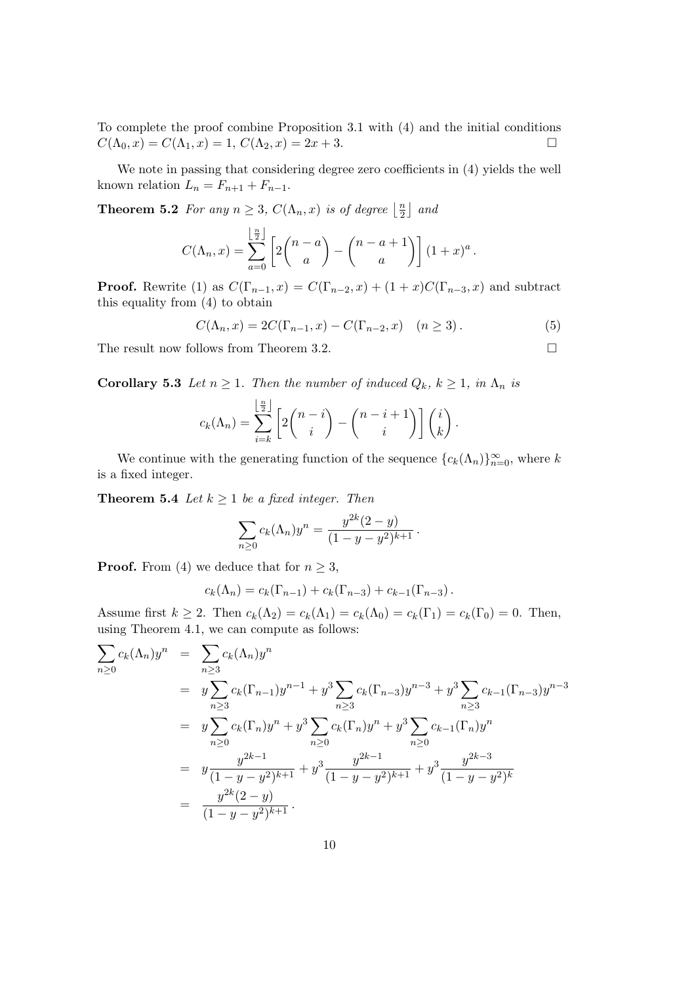To complete the proof combine Proposition 3.1 with (4) and the initial conditions  $C(\Lambda_0, x) = C(\Lambda_1, x) = 1, C(\Lambda_2, x) = 2x + 3.$ 

We note in passing that considering degree zero coefficients in (4) yields the well known relation  $L_n = F_{n+1} + F_{n-1}$ .

**Theorem 5.2** For any  $n \geq 3$ ,  $C(\Lambda_n, x)$  is of degree  $\left| \frac{n}{2} \right|$  $\frac{n}{2}$  and

$$
C(\Lambda_n, x) = \sum_{a=0}^{\lfloor \frac{n}{2} \rfloor} \left[ 2\binom{n-a}{a} - \binom{n-a+1}{a} \right] (1+x)^a.
$$

**Proof.** Rewrite (1) as  $C(\Gamma_{n-1}, x) = C(\Gamma_{n-2}, x) + (1+x)C(\Gamma_{n-3}, x)$  and subtract this equality from (4) to obtain

$$
C(\Lambda_n, x) = 2C(\Gamma_{n-1}, x) - C(\Gamma_{n-2}, x) \quad (n \ge 3).
$$
 (5)

The result now follows from Theorem 3.2.

**Corollary 5.3** Let  $n \geq 1$ . Then the number of induced  $Q_k$ ,  $k \geq 1$ , in  $\Lambda_n$  is

$$
c_k(\Lambda_n) = \sum_{i=k}^{\lfloor \frac{n}{2} \rfloor} \left[ 2\binom{n-i}{i} - \binom{n-i+1}{i} \right] \binom{i}{k}.
$$

We continue with the generating function of the sequence  ${c_k(\Lambda_n)}_{n=0}^{\infty}$ , where k is a fixed integer.

**Theorem 5.4** Let  $k \geq 1$  be a fixed integer. Then

$$
\sum_{n\geq 0} c_k(\Lambda_n) y^n = \frac{y^{2k}(2-y)}{(1-y-y^2)^{k+1}}.
$$

**Proof.** From (4) we deduce that for  $n \geq 3$ ,

$$
c_k(\Lambda_n) = c_k(\Gamma_{n-1}) + c_k(\Gamma_{n-3}) + c_{k-1}(\Gamma_{n-3}).
$$

Assume first  $k \geq 2$ . Then  $c_k(\Lambda_2) = c_k(\Lambda_1) = c_k(\Lambda_0) = c_k(\Gamma_1) = c_k(\Gamma_0) = 0$ . Then, using Theorem 4.1, we can compute as follows:

$$
\sum_{n\geq 0} c_k(\Lambda_n) y^n = \sum_{n\geq 3} c_k(\Lambda_n) y^n
$$
  
\n
$$
= y \sum_{n\geq 3} c_k(\Gamma_{n-1}) y^{n-1} + y^3 \sum_{n\geq 3} c_k(\Gamma_{n-3}) y^{n-3} + y^3 \sum_{n\geq 3} c_{k-1}(\Gamma_{n-3}) y^{n-3}
$$
  
\n
$$
= y \sum_{n\geq 0} c_k(\Gamma_n) y^n + y^3 \sum_{n\geq 0} c_k(\Gamma_n) y^n + y^3 \sum_{n\geq 0} c_{k-1}(\Gamma_n) y^n
$$
  
\n
$$
= y \frac{y^{2k-1}}{(1-y-y^2)^{k+1}} + y^3 \frac{y^{2k-1}}{(1-y-y^2)^{k+1}} + y^3 \frac{y^{2k-3}}{(1-y-y^2)^k}
$$
  
\n
$$
= \frac{y^{2k}(2-y)}{(1-y-y^2)^{k+1}}.
$$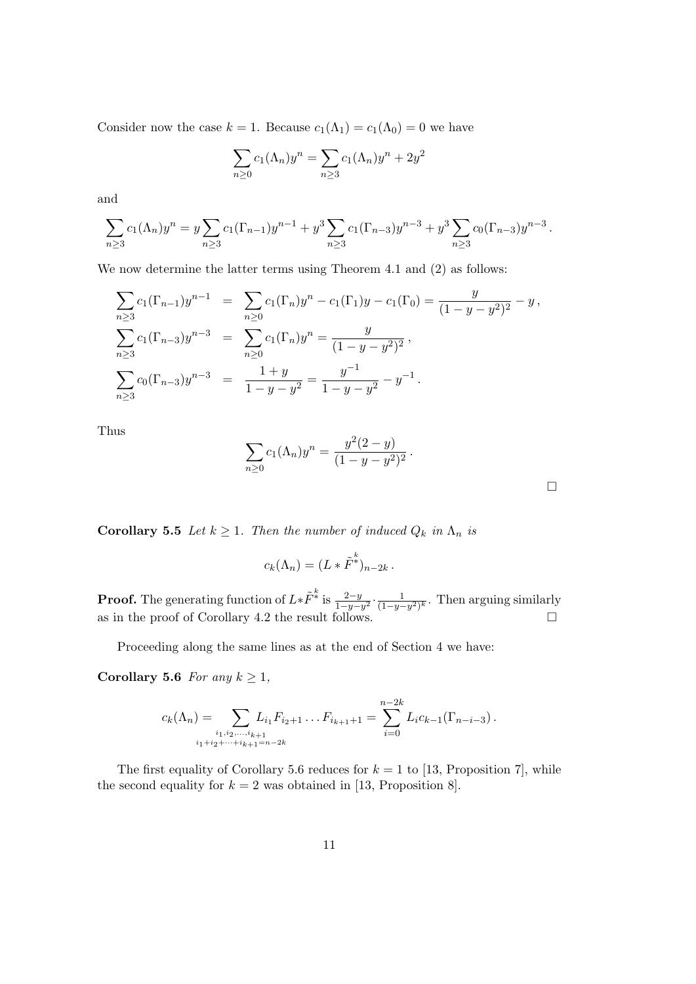Consider now the case  $k = 1$ . Because  $c_1(\Lambda_1) = c_1(\Lambda_0) = 0$  we have

$$
\sum_{n\geq 0} c_1(\Lambda_n) y^n = \sum_{n\geq 3} c_1(\Lambda_n) y^n + 2y^2
$$

and

$$
\sum_{n\geq 3} c_1(\Lambda_n) y^n = y \sum_{n\geq 3} c_1(\Gamma_{n-1}) y^{n-1} + y^3 \sum_{n\geq 3} c_1(\Gamma_{n-3}) y^{n-3} + y^3 \sum_{n\geq 3} c_0(\Gamma_{n-3}) y^{n-3}.
$$

We now determine the latter terms using Theorem 4.1 and (2) as follows:

$$
\sum_{n\geq 3} c_1(\Gamma_{n-1})y^{n-1} = \sum_{n\geq 0} c_1(\Gamma_n)y^n - c_1(\Gamma_1)y - c_1(\Gamma_0) = \frac{y}{(1-y-y^2)^2} - y,
$$
  

$$
\sum_{n\geq 3} c_1(\Gamma_{n-3})y^{n-3} = \sum_{n\geq 0} c_1(\Gamma_n)y^n = \frac{y}{(1-y-y^2)^2},
$$
  

$$
\sum_{n\geq 3} c_0(\Gamma_{n-3})y^{n-3} = \frac{1+y}{1-y-y^2} = \frac{y^{-1}}{1-y-y^2} - y^{-1}.
$$

Thus

$$
\sum_{n\geq 0} c_1(\Lambda_n) y^n = \frac{y^2(2-y)}{(1-y-y^2)^2}.
$$

 $\Box$ 

**Corollary 5.5** Let  $k \geq 1$ . Then the number of induced  $Q_k$  in  $\Lambda_n$  is

$$
c_k(\Lambda_n) = (L * \tilde{F}^*)_{n-2k}.
$$

**Proof.** The generating function of  $L * \tilde{F}^k$  is  $\frac{2-y}{1-y-y^2} \cdot \frac{1}{(1-y-y^2)^2}$  $\frac{1}{(1-y-y^2)^k}$ . Then arguing similarly as in the proof of Corollary 4.2 the result follows.

Proceeding along the same lines as at the end of Section 4 we have:

Corollary 5.6 For any  $k \geq 1$ ,

$$
c_k(\Lambda_n) = \sum_{\substack{i_1, i_2, \dots, i_{k+1} \\ i_1 + i_2 + \dots + i_{k+1} = n-2k}} L_{i_1} F_{i_2+1} \dots F_{i_{k+1}+1} = \sum_{i=0}^{n-2k} L_i c_{k-1} (\Gamma_{n-i-3}).
$$

The first equality of Corollary 5.6 reduces for  $k = 1$  to [13, Proposition 7], while the second equality for  $k = 2$  was obtained in [13, Proposition 8].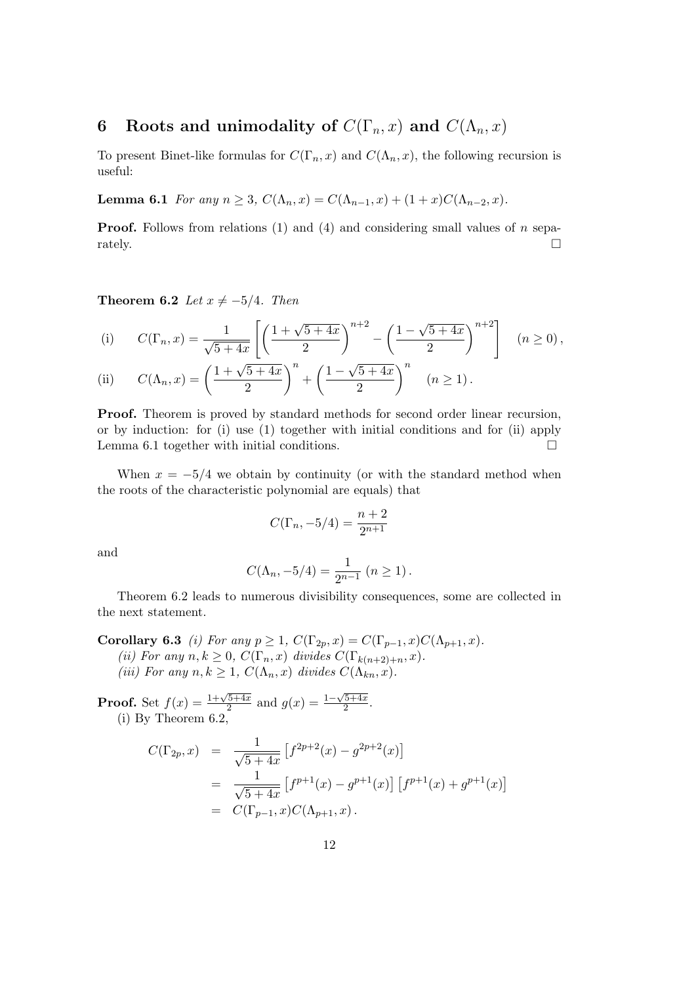# 6 Roots and unimodality of  $C(\Gamma_n, x)$  and  $C(\Lambda_n, x)$

To present Binet-like formulas for  $C(\Gamma_n, x)$  and  $C(\Lambda_n, x)$ , the following recursion is useful:

Lemma 6.1 For any  $n \ge 3$ ,  $C(\Lambda_n, x) = C(\Lambda_{n-1}, x) + (1+x)C(\Lambda_{n-2}, x)$ .

**Proof.** Follows from relations (1) and (4) and considering small values of n sepa- $\Box$  rately.

Theorem 6.2 Let  $x \neq -5/4$ . Then

(i) 
$$
C(\Gamma_n, x) = \frac{1}{\sqrt{5+4x}} \left[ \left( \frac{1+\sqrt{5+4x}}{2} \right)^{n+2} - \left( \frac{1-\sqrt{5+4x}}{2} \right)^{n+2} \right] \quad (n \ge 0),
$$

(ii) 
$$
C(\Lambda_n, x) = \left(\frac{1 + \sqrt{5 + 4x}}{2}\right)^n + \left(\frac{1 - \sqrt{5 + 4x}}{2}\right)^n \quad (n \ge 1).
$$

Proof. Theorem is proved by standard methods for second order linear recursion, or by induction: for (i) use (1) together with initial conditions and for (ii) apply Lemma 6.1 together with initial conditions.  $\Box$ 

When  $x = -5/4$  we obtain by continuity (or with the standard method when the roots of the characteristic polynomial are equals) that

$$
C(\Gamma_n, -5/4) = \frac{n+2}{2^{n+1}}
$$

and

$$
C(\Lambda_n, -5/4) = \frac{1}{2^{n-1}} (n \ge 1).
$$

Theorem 6.2 leads to numerous divisibility consequences, some are collected in the next statement.

Corollary 6.3 *(i)* For any  $p \ge 1$ ,  $C(\Gamma_{2p}, x) = C(\Gamma_{p-1}, x)C(\Lambda_{p+1}, x)$ . (ii) For any  $n, k \geq 0$ ,  $C(\Gamma_n, x)$  divides  $C(\Gamma_{k(n+2)+n}, x)$ . (iii) For any  $n, k \geq 1$ ,  $C(\Lambda_n, x)$  divides  $C(\Lambda_{kn}, x)$ .

**Proof.** Set  $f(x) = \frac{1+\sqrt{5+4x}}{2}$  $\frac{\sqrt{5+4x}}{2}$  and  $g(x) = \frac{1-\sqrt{5+4x}}{2}$  $\frac{5+4x}{2}$ . (i) By Theorem 6.2,

$$
C(\Gamma_{2p}, x) = \frac{1}{\sqrt{5+4x}} \left[ f^{2p+2}(x) - g^{2p+2}(x) \right]
$$
  
= 
$$
\frac{1}{\sqrt{5+4x}} \left[ f^{p+1}(x) - g^{p+1}(x) \right] \left[ f^{p+1}(x) + g^{p+1}(x) \right]
$$
  
= 
$$
C(\Gamma_{p-1}, x)C(\Lambda_{p+1}, x).
$$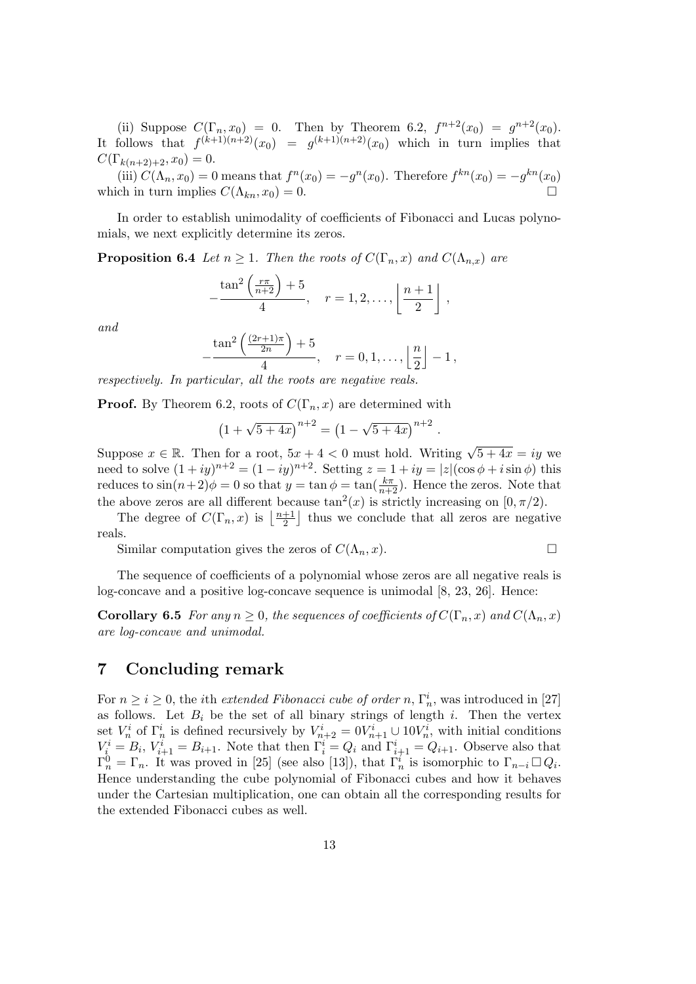(ii) Suppose  $C(\Gamma_n, x_0) = 0$ . Then by Theorem 6.2,  $f^{n+2}(x_0) = g^{n+2}(x_0)$ . It follows that  $f^{(k+1)(n+2)}(x_0) = g^{(k+1)(n+2)}(x_0)$  which in turn implies that  $C(\Gamma_{k(n+2)+2}, x_0) = 0.$ 

(iii)  $C(\Lambda_n, x_0) = 0$  means that  $f^n(x_0) = -g^n(x_0)$ . Therefore  $f^{kn}(x_0) = -g^{kn}(x_0)$ which in turn implies  $C(\Lambda_{kn}, x_0) = 0$ .

In order to establish unimodality of coefficients of Fibonacci and Lucas polynomials, we next explicitly determine its zeros.

**Proposition 6.4** Let  $n \geq 1$ . Then the roots of  $C(\Gamma_n, x)$  and  $C(\Lambda_{n,x})$  are

$$
-\frac{\tan^2\left(\frac{r\pi}{n+2}\right)+5}{4}, \quad r=1,2,\ldots, \left\lfloor\frac{n+1}{2}\right\rfloor,
$$

and

$$
-\frac{\tan^2\left(\frac{(2r+1)\pi}{2n}\right)+5}{4}, \quad r=0,1,\ldots,\left\lfloor\frac{n}{2}\right\rfloor-1,
$$

respectively. In particular, all the roots are negative reals.

**Proof.** By Theorem 6.2, roots of  $C(\Gamma_n, x)$  are determined with

$$
(1 + \sqrt{5 + 4x})^{n+2} = (1 - \sqrt{5 + 4x})^{n+2}.
$$

Suppose  $x \in \mathbb{R}$ . Then for a root,  $5x + 4 < 0$  must hold. Writing  $\sqrt{5+4x} = iy$  we need to solve  $(1+iy)^{n+2} = (1-iy)^{n+2}$ . Setting  $z = 1+iy = |z|(\cos\phi + i\sin\phi)$  this reduces to  $\sin((n+2)\phi) = 0$  so that  $y = \tan \phi = \tan(\frac{k\pi}{n+2})$ . Hence the zeros. Note that the above zeros are all different because  $\tan^2(x)$  is strictly increasing on  $[0, \pi/2)$ .

The degree of  $C(\Gamma_n, x)$  is  $\left\lfloor \frac{n+1}{2} \right\rfloor$  $\frac{+1}{2}$  thus we conclude that all zeros are negative reals.

Similar computation gives the zeros of  $C(\Lambda_n, x)$ .

The sequence of coefficients of a polynomial whose zeros are all negative reals is log-concave and a positive log-concave sequence is unimodal  $[8, 23, 26]$ . Hence:

**Corollary 6.5** For any  $n \geq 0$ , the sequences of coefficients of  $C(\Gamma_n, x)$  and  $C(\Lambda_n, x)$ are log-concave and unimodal.

## 7 Concluding remark

For  $n \geq i \geq 0$ , the *i*th *extended Fibonacci cube of order* n,  $\Gamma_n^i$ , was introduced in [27] as follows. Let  $B_i$  be the set of all binary strings of length i. Then the vertex set  $V_n^i$  of  $\Gamma_n^i$  is defined recursively by  $V_{n+2}^i = 0V_{n+1}^i \cup 10V_n^i$ , with initial conditions  $V_i^i = B_i$ ,  $V_{i+1}^i = B_{i+1}$ . Note that then  $\Gamma_i^i = Q_i$  and  $\Gamma_{i+1}^i = Q_{i+1}$ . Observe also that  $\Gamma_n^0 = \Gamma_n$ . It was proved in [25] (see also [13]), that  $\Gamma_n^i$  is isomorphic to  $\Gamma_{n-i} \square Q_i$ . Hence understanding the cube polynomial of Fibonacci cubes and how it behaves under the Cartesian multiplication, one can obtain all the corresponding results for the extended Fibonacci cubes as well.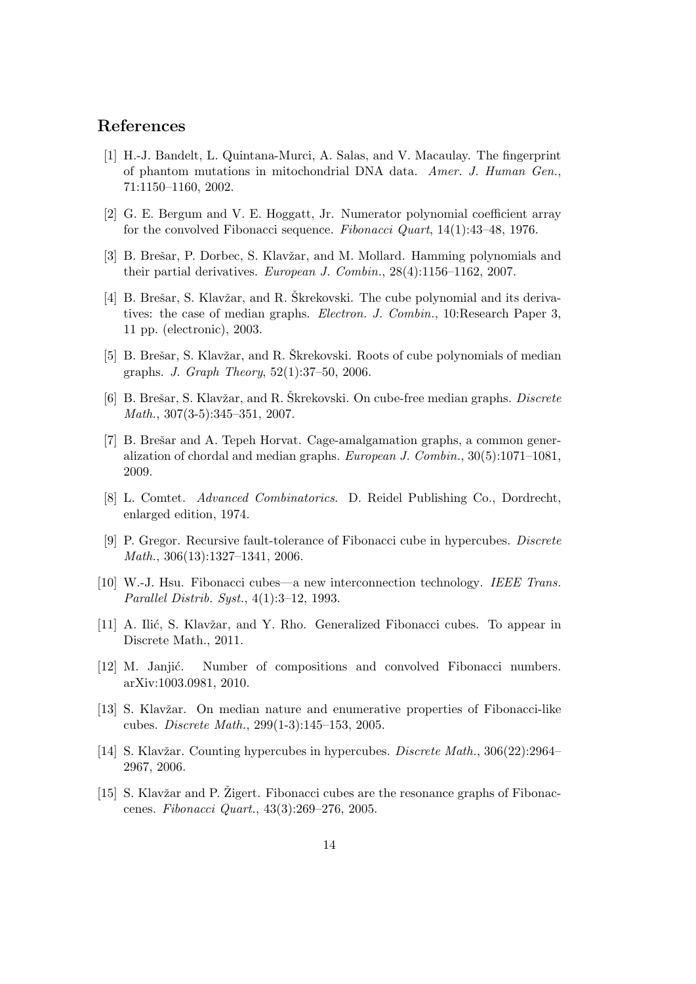## References

- [1] H.-J. Bandelt, L. Quintana-Murci, A. Salas, and V. Macaulay. The fingerprint of phantom mutations in mitochondrial DNA data. Amer. J. Human Gen., 71:1150–1160, 2002.
- [2] G. E. Bergum and V. E. Hoggatt, Jr. Numerator polynomial coefficient array for the convolved Fibonacci sequence. Fibonacci Quart,  $14(1):33-48$ , 1976.
- [3] B. Brešar, P. Dorbec, S. Klavžar, and M. Mollard. Hamming polynomials and their partial derivatives. European J. Combin., 28(4):1156–1162, 2007.
- [4] B. Brešar, S. Klavžar, and R. Škrekovski. The cube polynomial and its derivatives: the case of median graphs. Electron. J. Combin., 10: Research Paper 3, 11 pp. (electronic), 2003.
- [5] B. Brešar, S. Klavžar, and R. Škrekovski. Roots of cube polynomials of median graphs. J. Graph Theory, 52(1):37–50, 2006.
- [6] B. Brešar, S. Klavžar, and R. Škrekovski. On cube-free median graphs. *Discrete* Math., 307(3-5):345–351, 2007.
- [7] B. Brešar and A. Tepeh Horvat. Cage-amalgamation graphs, a common generalization of chordal and median graphs. European J. Combin., 30(5):1071–1081, 2009.
- [8] L. Comtet. Advanced Combinatorics. D. Reidel Publishing Co., Dordrecht, enlarged edition, 1974.
- [9] P. Gregor. Recursive fault-tolerance of Fibonacci cube in hypercubes. Discrete Math., 306(13):1327–1341, 2006.
- [10] W.-J. Hsu. Fibonacci cubes—a new interconnection technology. IEEE Trans. Parallel Distrib. Syst., 4(1):3–12, 1993.
- [11] A. Ilić, S. Klavžar, and Y. Rho. Generalized Fibonacci cubes. To appear in Discrete Math., 2011.
- [12] M. Janjić. Number of compositions and convolved Fibonacci numbers. arXiv:1003.0981, 2010.
- [13] S. Klavžar. On median nature and enumerative properties of Fibonacci-like cubes. Discrete Math., 299(1-3):145–153, 2005.
- [14] S. Klavžar. Counting hypercubes in hypercubes. *Discrete Math.*, 306(22):2964– 2967, 2006.
- [15] S. Klavžar and P. Žigert. Fibonacci cubes are the resonance graphs of Fibonaccenes. Fibonacci Quart., 43(3):269–276, 2005.